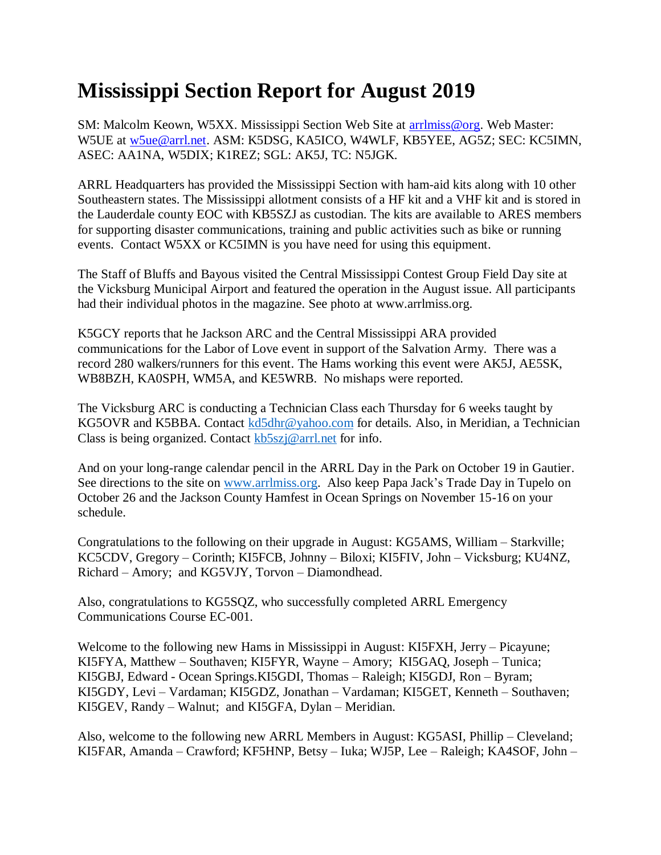## **Mississippi Section Report for August 2019**

SM: Malcolm Keown, W5XX. Mississippi Section Web Site at [arrlmiss@org.](mailto:arrlmiss@org) Web Master: W5UE at [w5ue@arrl.net.](mailto:w5ue@arrl.net) ASM: K5DSG, KA5ICO, W4WLF, KB5YEE, AG5Z; SEC: KC5IMN, ASEC: AA1NA, W5DIX; K1REZ; SGL: AK5J, TC: N5JGK.

ARRL Headquarters has provided the Mississippi Section with ham-aid kits along with 10 other Southeastern states. The Mississippi allotment consists of a HF kit and a VHF kit and is stored in the Lauderdale county EOC with KB5SZJ as custodian. The kits are available to ARES members for supporting disaster communications, training and public activities such as bike or running events. Contact W5XX or KC5IMN is you have need for using this equipment.

The Staff of Bluffs and Bayous visited the Central Mississippi Contest Group Field Day site at the Vicksburg Municipal Airport and featured the operation in the August issue. All participants had their individual photos in the magazine. See photo at www.arrlmiss.org.

K5GCY reports that he Jackson ARC and the Central Mississippi ARA provided communications for the Labor of Love event in support of the Salvation Army. There was a record 280 walkers/runners for this event. The Hams working this event were AK5J, AE5SK, WB8BZH, KA0SPH, WM5A, and KE5WRB. No mishaps were reported.

The Vicksburg ARC is conducting a Technician Class each Thursday for 6 weeks taught by KG5OVR and K5BBA. Contact [kd5dhr@yahoo.com](mailto:kd5dhr@yahoo.com) for details. Also, in Meridian, a Technician Class is being organized. Contact [kb5szj@arrl.net](mailto:kb5szj@arrl.net) for info.

And on your long-range calendar pencil in the ARRL Day in the Park on October 19 in Gautier. See directions to the site on [www.arrlmiss.org.](http://www.arrlmiss.org/) Also keep Papa Jack's Trade Day in Tupelo on October 26 and the Jackson County Hamfest in Ocean Springs on November 15-16 on your schedule.

Congratulations to the following on their upgrade in August: KG5AMS, William – Starkville; KC5CDV, Gregory – Corinth; KI5FCB, Johnny – Biloxi; KI5FIV, John – Vicksburg; KU4NZ, Richard – Amory; and KG5VJY, Torvon – Diamondhead.

Also, congratulations to KG5SQZ, who successfully completed ARRL Emergency Communications Course EC-001.

Welcome to the following new Hams in Mississippi in August: KI5FXH, Jerry – Picayune; KI5FYA, Matthew – Southaven; KI5FYR, Wayne – Amory; KI5GAQ, Joseph – Tunica; KI5GBJ, Edward - Ocean Springs.KI5GDI, Thomas – Raleigh; KI5GDJ, Ron – Byram; KI5GDY, Levi – Vardaman; KI5GDZ, Jonathan – Vardaman; KI5GET, Kenneth – Southaven; KI5GEV, Randy – Walnut; and KI5GFA, Dylan – Meridian.

Also, welcome to the following new ARRL Members in August: KG5ASI, Phillip – Cleveland; KI5FAR, Amanda – Crawford; KF5HNP, Betsy – Iuka; WJ5P, Lee – Raleigh; KA4SOF, John –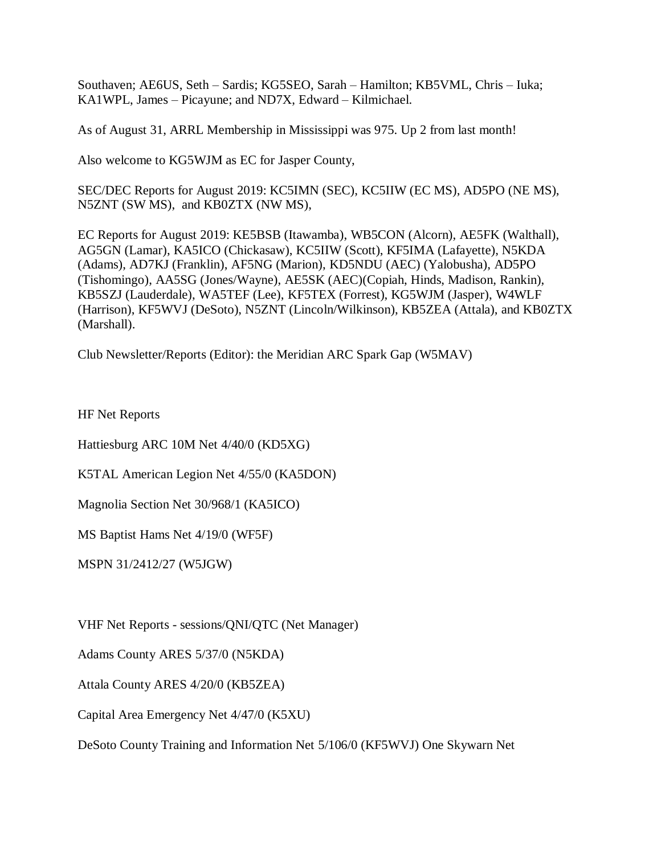Southaven; AE6US, Seth – Sardis; KG5SEO, Sarah – Hamilton; KB5VML, Chris – Iuka; KA1WPL, James – Picayune; and ND7X, Edward – Kilmichael.

As of August 31, ARRL Membership in Mississippi was 975. Up 2 from last month!

Also welcome to KG5WJM as EC for Jasper County,

SEC/DEC Reports for August 2019: KC5IMN (SEC), KC5IIW (EC MS), AD5PO (NE MS), N5ZNT (SW MS), and KB0ZTX (NW MS),

EC Reports for August 2019: KE5BSB (Itawamba), WB5CON (Alcorn), AE5FK (Walthall), AG5GN (Lamar), KA5ICO (Chickasaw), KC5IIW (Scott), KF5IMA (Lafayette), N5KDA (Adams), AD7KJ (Franklin), AF5NG (Marion), KD5NDU (AEC) (Yalobusha), AD5PO (Tishomingo), AA5SG (Jones/Wayne), AE5SK (AEC)(Copiah, Hinds, Madison, Rankin), KB5SZJ (Lauderdale), WA5TEF (Lee), KF5TEX (Forrest), KG5WJM (Jasper), W4WLF (Harrison), KF5WVJ (DeSoto), N5ZNT (Lincoln/Wilkinson), KB5ZEA (Attala), and KB0ZTX (Marshall).

Club Newsletter/Reports (Editor): the Meridian ARC Spark Gap (W5MAV)

HF Net Reports

Hattiesburg ARC 10M Net 4/40/0 (KD5XG)

K5TAL American Legion Net 4/55/0 (KA5DON)

Magnolia Section Net 30/968/1 (KA5ICO)

MS Baptist Hams Net 4/19/0 (WF5F)

MSPN 31/2412/27 (W5JGW)

VHF Net Reports - sessions/QNI/QTC (Net Manager)

Adams County ARES 5/37/0 (N5KDA)

Attala County ARES 4/20/0 (KB5ZEA)

Capital Area Emergency Net 4/47/0 (K5XU)

DeSoto County Training and Information Net 5/106/0 (KF5WVJ) One Skywarn Net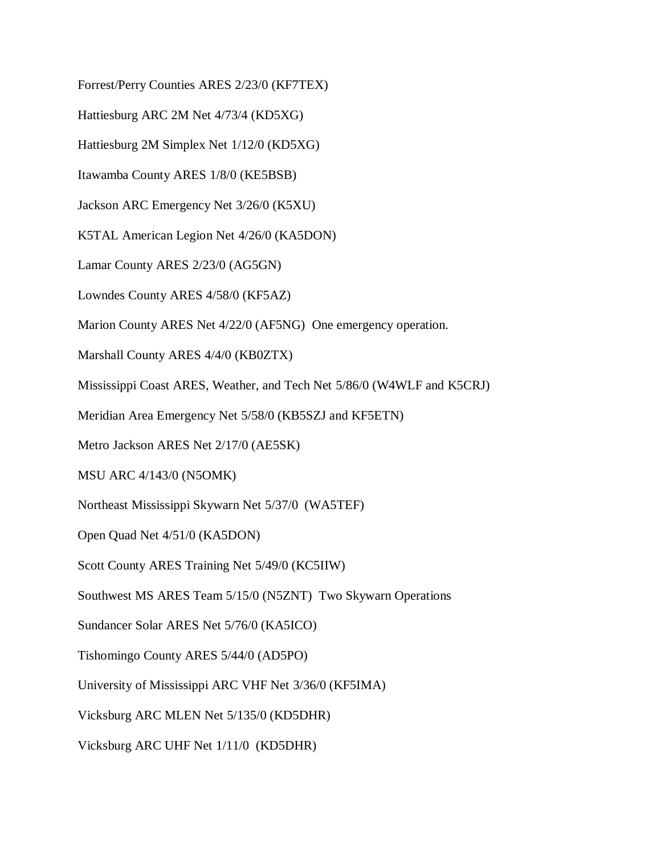Forrest/Perry Counties ARES 2/23/0 (KF7TEX)

Hattiesburg ARC 2M Net 4/73/4 (KD5XG)

Hattiesburg 2M Simplex Net 1/12/0 (KD5XG)

Itawamba County ARES 1/8/0 (KE5BSB)

Jackson ARC Emergency Net 3/26/0 (K5XU)

K5TAL American Legion Net 4/26/0 (KA5DON)

Lamar County ARES 2/23/0 (AG5GN)

Lowndes County ARES 4/58/0 (KF5AZ)

Marion County ARES Net 4/22/0 (AF5NG) One emergency operation.

Marshall County ARES 4/4/0 (KB0ZTX)

Mississippi Coast ARES, Weather, and Tech Net 5/86/0 (W4WLF and K5CRJ)

Meridian Area Emergency Net 5/58/0 (KB5SZJ and KF5ETN)

Metro Jackson ARES Net 2/17/0 (AE5SK)

MSU ARC 4/143/0 (N5OMK)

Northeast Mississippi Skywarn Net 5/37/0 (WA5TEF)

Open Quad Net 4/51/0 (KA5DON)

Scott County ARES Training Net 5/49/0 (KC5IIW)

Southwest MS ARES Team 5/15/0 (N5ZNT) Two Skywarn Operations

Sundancer Solar ARES Net 5/76/0 (KA5ICO)

Tishomingo County ARES 5/44/0 (AD5PO)

University of Mississippi ARC VHF Net 3/36/0 (KF5IMA)

Vicksburg ARC MLEN Net 5/135/0 (KD5DHR)

Vicksburg ARC UHF Net 1/11/0 (KD5DHR)